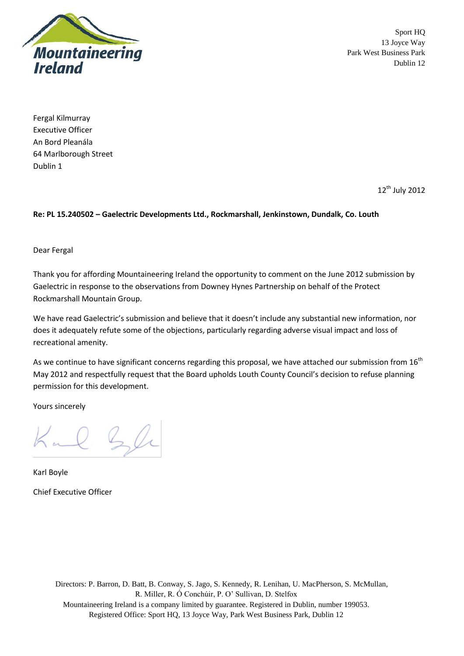

Fergal Kilmurray Executive Officer An Bord Pleanála 64 Marlborough Street Dublin 1

12<sup>th</sup> July 2012

## **Re: PL 15.240502 – Gaelectric Developments Ltd., Rockmarshall, Jenkinstown, Dundalk, Co. Louth**

Dear Fergal

Thank you for affording Mountaineering Ireland the opportunity to comment on the June 2012 submission by Gaelectric in response to the observations from Downey Hynes Partnership on behalf of the Protect Rockmarshall Mountain Group.

We have read Gaelectric's submission and believe that it doesn't include any substantial new information, nor does it adequately refute some of the objections, particularly regarding adverse visual impact and loss of recreational amenity.

As we continue to have significant concerns regarding this proposal, we have attached our submission from 16<sup>th</sup> May 2012 and respectfully request that the Board upholds Louth County Council's decision to refuse planning permission for this development.

Yours sincerely

Kal Sle

Karl Boyle Chief Executive Officer

> Directors: P. Barron, D. Batt, B. Conway, S. Jago, S. Kennedy, R. Lenihan, U. MacPherson, S. McMullan, R. Miller, R. Ó Conchúir, P. O' Sullivan, D. Stelfox Mountaineering Ireland is a company limited by guarantee. Registered in Dublin, number 199053. Registered Office: Sport HQ, 13 Joyce Way, Park West Business Park, Dublin 12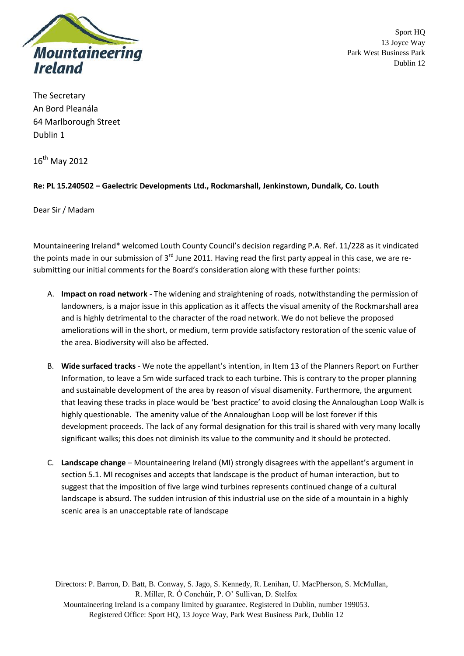

The Secretary An Bord Pleanála 64 Marlborough Street Dublin 1

 $16^{th}$  May 2012

## **Re: PL 15.240502 – Gaelectric Developments Ltd., Rockmarshall, Jenkinstown, Dundalk, Co. Louth**

Dear Sir / Madam

Mountaineering Ireland\* welcomed Louth County Council's decision regarding P.A. Ref. 11/228 as it vindicated the points made in our submission of 3<sup>rd</sup> June 2011. Having read the first party appeal in this case, we are resubmitting our initial comments for the Board's consideration along with these further points:

- A. **Impact on road network** The widening and straightening of roads, notwithstanding the permission of landowners, is a major issue in this application as it affects the visual amenity of the Rockmarshall area and is highly detrimental to the character of the road network. We do not believe the proposed ameliorations will in the short, or medium, term provide satisfactory restoration of the scenic value of the area. Biodiversity will also be affected.
- B. **Wide surfaced tracks** We note the appellant's intention, in Item 13 of the Planners Report on Further Information, to leave a 5m wide surfaced track to each turbine. This is contrary to the proper planning and sustainable development of the area by reason of visual disamenity. Furthermore, the argument that leaving these tracks in place would be 'best practice' to avoid closing the Annaloughan Loop Walk is highly questionable. The amenity value of the Annaloughan Loop will be lost forever if this development proceeds. The lack of any formal designation for this trail is shared with very many locally significant walks; this does not diminish its value to the community and it should be protected.
- C. **Landscape change** Mountaineering Ireland (MI) strongly disagrees with the appellant's argument in section 5.1. MI recognises and accepts that landscape is the product of human interaction, but to suggest that the imposition of five large wind turbines represents continued change of a cultural landscape is absurd. The sudden intrusion of this industrial use on the side of a mountain in a highly scenic area is an unacceptable rate of landscape

Directors: P. Barron, D. Batt, B. Conway, S. Jago, S. Kennedy, R. Lenihan, U. MacPherson, S. McMullan, R. Miller, R. Ó Conchúir, P. O' Sullivan, D. Stelfox Mountaineering Ireland is a company limited by guarantee. Registered in Dublin, number 199053. Registered Office: Sport HQ, 13 Joyce Way, Park West Business Park, Dublin 12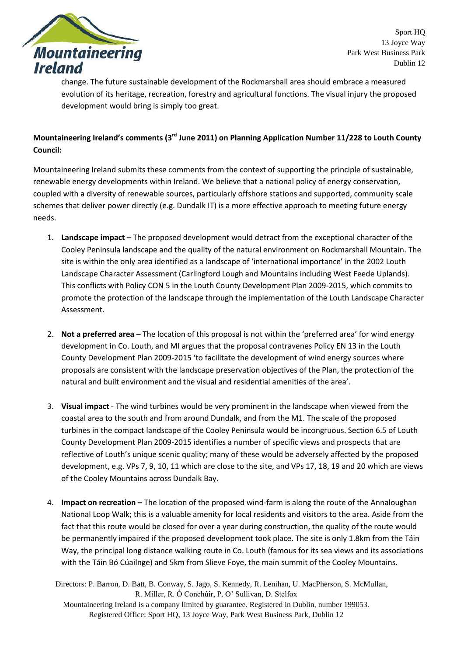

change. The future sustainable development of the Rockmarshall area should embrace a measured evolution of its heritage, recreation, forestry and agricultural functions. The visual injury the proposed development would bring is simply too great.

## **Mountaineering Ireland's comments (3 rd June 2011) on Planning Application Number 11/228 to Louth County Council:**

Mountaineering Ireland submits these comments from the context of supporting the principle of sustainable, renewable energy developments within Ireland. We believe that a national policy of energy conservation, coupled with a diversity of renewable sources, particularly offshore stations and supported, community scale schemes that deliver power directly (e.g. Dundalk IT) is a more effective approach to meeting future energy needs.

- 1. **Landscape impact** The proposed development would detract from the exceptional character of the Cooley Peninsula landscape and the quality of the natural environment on Rockmarshall Mountain. The site is within the only area identified as a landscape of 'international importance' in the 2002 Louth Landscape Character Assessment (Carlingford Lough and Mountains including West Feede Uplands). This conflicts with Policy CON 5 in the Louth County Development Plan 2009-2015, which commits to promote the protection of the landscape through the implementation of the Louth Landscape Character Assessment.
- 2. **Not a preferred area**  The location of this proposal is not within the 'preferred area' for wind energy development in Co. Louth, and MI argues that the proposal contravenes Policy EN 13 in the Louth County Development Plan 2009-2015 'to facilitate the development of wind energy sources where proposals are consistent with the landscape preservation objectives of the Plan, the protection of the natural and built environment and the visual and residential amenities of the area'.
- 3. **Visual impact** The wind turbines would be very prominent in the landscape when viewed from the coastal area to the south and from around Dundalk, and from the M1. The scale of the proposed turbines in the compact landscape of the Cooley Peninsula would be incongruous. Section 6.5 of Louth County Development Plan 2009-2015 identifies a number of specific views and prospects that are reflective of Louth's unique scenic quality; many of these would be adversely affected by the proposed development, e.g. VPs 7, 9, 10, 11 which are close to the site, and VPs 17, 18, 19 and 20 which are views of the Cooley Mountains across Dundalk Bay.
- 4. **Impact on recreation –** The location of the proposed wind-farm is along the route of the Annaloughan National Loop Walk; this is a valuable amenity for local residents and visitors to the area. Aside from the fact that this route would be closed for over a year during construction, the quality of the route would be permanently impaired if the proposed development took place. The site is only 1.8km from the Táin Way, the principal long distance walking route in Co. Louth (famous for its sea views and its associations with the Táin Bó Cúailnge) and 5km from Slieve Foye, the main summit of the Cooley Mountains.

Directors: P. Barron, D. Batt, B. Conway, S. Jago, S. Kennedy, R. Lenihan, U. MacPherson, S. McMullan, R. Miller, R. Ó Conchúir, P. O' Sullivan, D. Stelfox

Mountaineering Ireland is a company limited by guarantee. Registered in Dublin, number 199053. Registered Office: Sport HQ, 13 Joyce Way, Park West Business Park, Dublin 12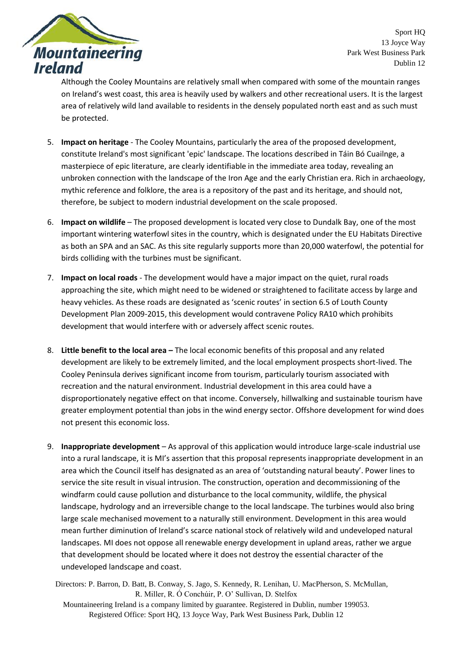

Although the Cooley Mountains are relatively small when compared with some of the mountain ranges on Ireland's west coast, this area is heavily used by walkers and other recreational users. It is the largest area of relatively wild land available to residents in the densely populated north east and as such must be protected.

- 5. **Impact on heritage** The Cooley Mountains, particularly the area of the proposed development, constitute Ireland's most significant 'epic' landscape. The locations described in Táin Bó Cuailnge, a masterpiece of epic literature, are clearly identifiable in the immediate area today, revealing an unbroken connection with the landscape of the Iron Age and the early Christian era. Rich in archaeology, mythic reference and folklore, the area is a repository of the past and its heritage, and should not, therefore, be subject to modern industrial development on the scale proposed.
- 6. **Impact on wildlife** The proposed development is located very close to Dundalk Bay, one of the most important wintering waterfowl sites in the country, which is designated under the EU Habitats Directive as both an SPA and an SAC. As this site regularly supports more than 20,000 waterfowl, the potential for birds colliding with the turbines must be significant.
- 7. **Impact on local roads** The development would have a major impact on the quiet, rural roads approaching the site, which might need to be widened or straightened to facilitate access by large and heavy vehicles. As these roads are designated as 'scenic routes' in section 6.5 of Louth County Development Plan 2009-2015, this development would contravene Policy RA10 which prohibits development that would interfere with or adversely affect scenic routes.
- 8. **Little benefit to the local area –** The local economic benefits of this proposal and any related development are likely to be extremely limited, and the local employment prospects short-lived. The Cooley Peninsula derives significant income from tourism, particularly tourism associated with recreation and the natural environment. Industrial development in this area could have a disproportionately negative effect on that income. Conversely, hillwalking and sustainable tourism have greater employment potential than jobs in the wind energy sector. Offshore development for wind does not present this economic loss.
- 9. **Inappropriate development** As approval of this application would introduce large-scale industrial use into a rural landscape, it is MI's assertion that this proposal represents inappropriate development in an area which the Council itself has designated as an area of 'outstanding natural beauty'. Power lines to service the site result in visual intrusion. The construction, operation and decommissioning of the windfarm could cause pollution and disturbance to the local community, wildlife, the physical landscape, hydrology and an irreversible change to the local landscape. The turbines would also bring large scale mechanised movement to a naturally still environment. Development in this area would mean further diminution of Ireland's scarce national stock of relatively wild and undeveloped natural landscapes. MI does not oppose all renewable energy development in upland areas, rather we argue that development should be located where it does not destroy the essential character of the undeveloped landscape and coast.

Directors: P. Barron, D. Batt, B. Conway, S. Jago, S. Kennedy, R. Lenihan, U. MacPherson, S. McMullan, R. Miller, R. Ó Conchúir, P. O' Sullivan, D. Stelfox

Mountaineering Ireland is a company limited by guarantee. Registered in Dublin, number 199053. Registered Office: Sport HQ, 13 Joyce Way, Park West Business Park, Dublin 12